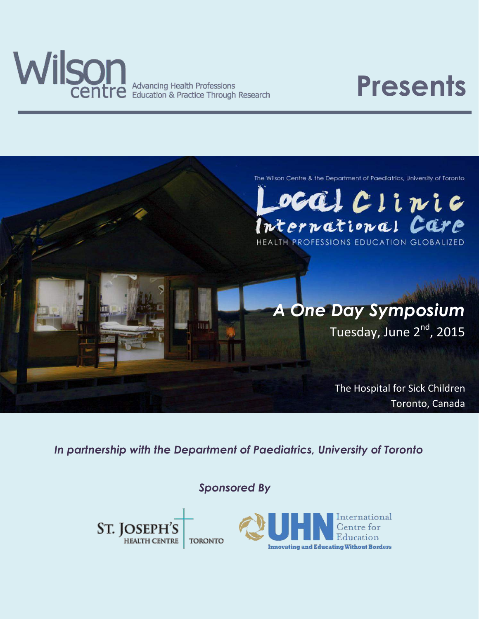

**Advancing Health Professions** Education & Practice Through Research

## **Presents**



scal Clinic International Care HEALTH PROFESSIONS EDUCATION GLOBALIZED

# *A One Day Symposium*

Tuesday, June 2<sup>nd</sup>, 2015

The Hospital for Sick Children Toronto, Canada

*In partnership with the Department of Paediatrics, University of Toronto*

*Sponsored By*

ST. JOSEPH'S **HEALTH CENTRE TORONTO** 

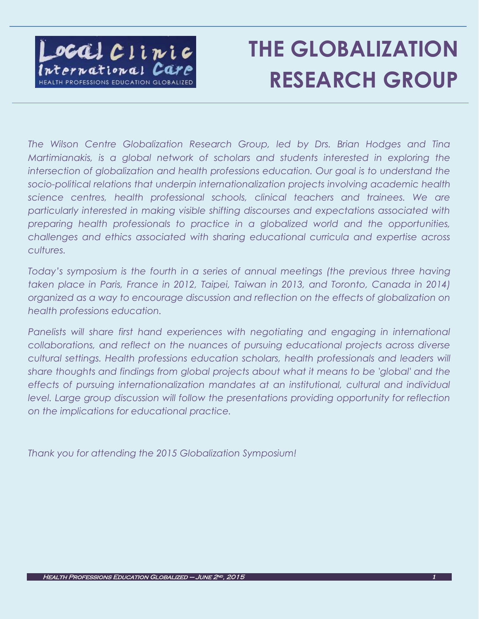

## **THE GLOBALIZATION RESEARCH GROUP**

 $\overline{a}$ 

*The Wilson Centre Globalization Research Group, led by Drs. Brian Hodges and Tina Martimianakis, is a global network of scholars and students interested in exploring the intersection of globalization and health professions education. Our goal is to understand the socio-political relations that underpin internationalization projects involving academic health science centres, health professional schools, clinical teachers and trainees. We are particularly interested in making visible shifting discourses and expectations associated with preparing health professionals to practice in a globalized world and the opportunities, challenges and ethics associated with sharing educational curricula and expertise across cultures.*

*Today's symposium is the fourth in a series of annual meetings (the previous three having taken place in Paris, France in 2012, Taipei, Taiwan in 2013, and Toronto, Canada in 2014) organized as a way to encourage discussion and reflection on the effects of globalization on health professions education.*

Panelists will share first hand experiences with negotiating and engaging in international *collaborations, and reflect on the nuances of pursuing educational projects across diverse cultural settings. Health professions education scholars, health professionals and leaders will share thoughts and findings from global projects about what it means to be 'global' and the effects of pursuing internationalization mandates at an institutional, cultural and individual level. Large group discussion will follow the presentations providing opportunity for reflection on the implications for educational practice.*

*Thank you for attending the 2015 Globalization Symposium!*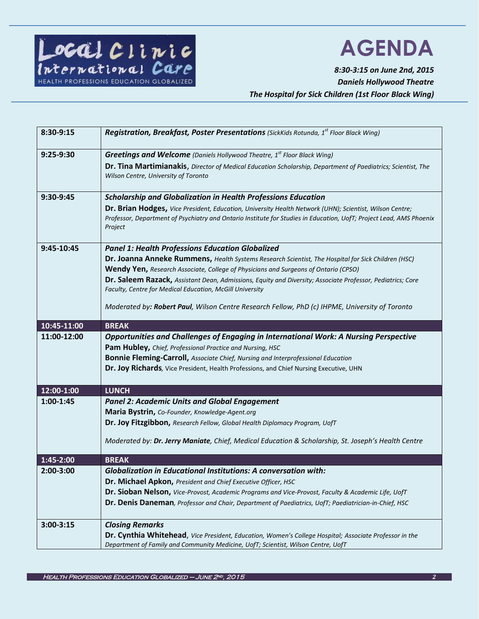

## **AGENDA**

Ī

*8:30-3:15 on June 2nd, 2015 Daniels Hollywood Theatre The Hospital for Sick Children (1st Floor Black Wing)*

| 8:30-9:15     | Registration, Breakfast, Poster Presentations (SickKids Rotunda, 1 <sup>st</sup> Floor Black Wing)                                                                                                                                        |
|---------------|-------------------------------------------------------------------------------------------------------------------------------------------------------------------------------------------------------------------------------------------|
| 9:25-9:30     | <b>Greetings and Welcome</b> (Daniels Hollywood Theatre, $1^{st}$ Floor Black Wing)                                                                                                                                                       |
|               | Dr. Tina Martimianakis, Director of Medical Education Scholarship, Department of Paediatrics; Scientist, The<br>Wilson Centre, University of Toronto                                                                                      |
| 9:30-9:45     | <b>Scholarship and Globalization in Health Professions Education</b>                                                                                                                                                                      |
|               | Dr. Brian Hodges, Vice President, Education, University Health Network (UHN); Scientist, Wilson Centre;<br>Professor, Department of Psychiatry and Ontario Institute for Studies in Education, UofT; Project Lead, AMS Phoenix<br>Project |
| 9:45-10:45    | <b>Panel 1: Health Professions Education Globalized</b>                                                                                                                                                                                   |
|               | Dr. Joanna Anneke Rummens, Health Systems Research Scientist, The Hospital for Sick Children (HSC)                                                                                                                                        |
|               | Wendy Yen, Research Associate, College of Physicians and Surgeons of Ontario (CPSO)                                                                                                                                                       |
|               | Dr. Saleem Razack, Assistant Dean, Admissions, Equity and Diversity; Associate Professor, Pediatrics; Core<br>Faculty, Centre for Medical Education, McGill University                                                                    |
|               | Moderated by: Robert Paul, Wilson Centre Research Fellow, PhD (c) IHPME, University of Toronto                                                                                                                                            |
| 10:45-11:00   | <b>BREAK</b>                                                                                                                                                                                                                              |
| 11:00-12:00   | Opportunities and Challenges of Engaging in International Work: A Nursing Perspective                                                                                                                                                     |
|               | Pam Hubley, Chief, Professional Practice and Nursing, HSC                                                                                                                                                                                 |
|               | <b>Bonnie Fleming-Carroll, Associate Chief, Nursing and Interprofessional Education</b>                                                                                                                                                   |
|               | Dr. Joy Richards, Vice President, Health Professions, and Chief Nursing Executive, UHN                                                                                                                                                    |
| 12:00-1:00    | <b>LUNCH</b>                                                                                                                                                                                                                              |
| 1:00-1:45     | <b>Panel 2: Academic Units and Global Engagement</b>                                                                                                                                                                                      |
|               | Maria Bystrin, Co-Founder, Knowledge-Agent.org                                                                                                                                                                                            |
|               | Dr. Joy Fitzgibbon, Research Fellow, Global Health Diplomacy Program, UofT                                                                                                                                                                |
|               | Moderated by: Dr. Jerry Maniate, Chief, Medical Education & Scholarship, St. Joseph's Health Centre                                                                                                                                       |
| 1:45-2:00     | <b>BREAK</b>                                                                                                                                                                                                                              |
| $2:00-3:00$   | <b>Globalization in Educational Institutions: A conversation with:</b>                                                                                                                                                                    |
|               | Dr. Michael Apkon, President and Chief Executive Officer, HSC                                                                                                                                                                             |
|               | Dr. Sioban Nelson, Vice-Provost, Academic Programs and Vice-Provost, Faculty & Academic Life, UofT                                                                                                                                        |
|               | Dr. Denis Daneman, Professor and Chair, Department of Paediatrics, UofT; Paediatrician-in-Chief, HSC                                                                                                                                      |
| $3:00 - 3:15$ | <b>Closing Remarks</b>                                                                                                                                                                                                                    |
|               | Dr. Cynthia Whitehead, Vice President, Education, Women's College Hospital; Associate Professor in the<br>Department of Family and Community Medicine, UofT; Scientist, Wilson Centre, UofT                                               |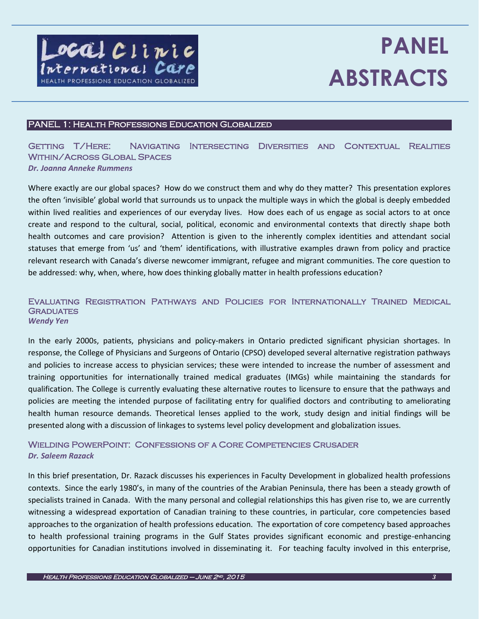

Ī

## **PANEL ABSTRACTS**

### PANEL 1: Health Professions Education Globalized

### Getting T/Here: Navigating Intersecting Diversities and Contextual Realities Within/Across Global Spaces *Dr. Joanna Anneke Rummens*

Where exactly are our global spaces? How do we construct them and why do they matter? This presentation explores the often 'invisible' global world that surrounds us to unpack the multiple ways in which the global is deeply embedded within lived realities and experiences of our everyday lives. How does each of us engage as social actors to at once create and respond to the cultural, social, political, economic and environmental contexts that directly shape both health outcomes and care provision? Attention is given to the inherently complex identities and attendant social statuses that emerge from 'us' and 'them' identifications, with illustrative examples drawn from policy and practice relevant research with Canada's diverse newcomer immigrant, refugee and migrant communities. The core question to be addressed: why, when, where, how does thinking globally matter in health professions education?

#### Evaluating Registration Pathways and Policies for Internationally Trained Medical **GRADUATES** *Wendy Yen*

In the early 2000s, patients, physicians and policy-makers in Ontario predicted significant physician shortages. In response, the College of Physicians and Surgeons of Ontario (CPSO) developed several alternative registration pathways and policies to increase access to physician services; these were intended to increase the number of assessment and training opportunities for internationally trained medical graduates (IMGs) while maintaining the standards for qualification. The College is currently evaluating these alternative routes to licensure to ensure that the pathways and policies are meeting the intended purpose of facilitating entry for qualified doctors and contributing to ameliorating health human resource demands. Theoretical lenses applied to the work, study design and initial findings will be presented along with a discussion of linkages to systems level policy development and globalization issues.

### Wielding PowerPoint: Confessions of a Core Competencies Crusader *Dr. Saleem Razack*

In this brief presentation, Dr. Razack discusses his experiences in Faculty Development in globalized health professions contexts. Since the early 1980's, in many of the countries of the Arabian Peninsula, there has been a steady growth of specialists trained in Canada. With the many personal and collegial relationships this has given rise to, we are currently witnessing a widespread exportation of Canadian training to these countries, in particular, core competencies based approaches to the organization of health professions education. The exportation of core competency based approaches to health professional training programs in the Gulf States provides significant economic and prestige-enhancing opportunities for Canadian institutions involved in disseminating it. For teaching faculty involved in this enterprise,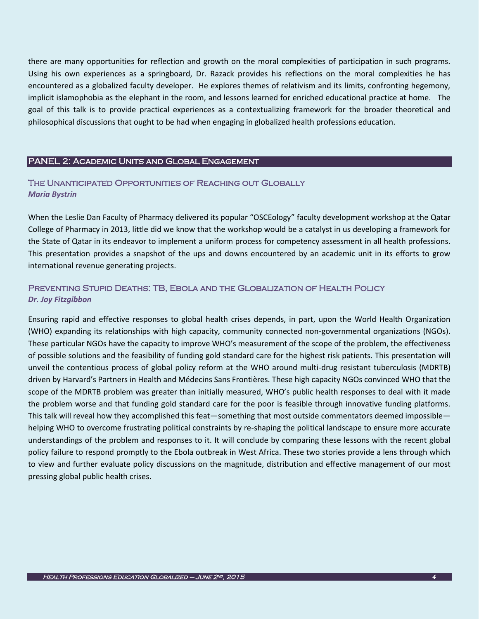there are many opportunities for reflection and growth on the moral complexities of participation in such programs. Using his own experiences as a springboard, Dr. Razack provides his reflections on the moral complexities he has encountered as a globalized faculty developer. He explores themes of relativism and its limits, confronting hegemony, implicit islamophobia as the elephant in the room, and lessons learned for enriched educational practice at home. The goal of this talk is to provide practical experiences as a contextualizing framework for the broader theoretical and philosophical discussions that ought to be had when engaging in globalized health professions education.

#### PANEL 2: Academic Units and Global Engagement

Ī

### The Unanticipated Opportunities of Reaching out Globally *Maria Bystrin*

When the Leslie Dan Faculty of Pharmacy delivered its popular "OSCEology" faculty development workshop at the Qatar College of Pharmacy in 2013, little did we know that the workshop would be a catalyst in us developing a framework for the State of Qatar in its endeavor to implement a uniform process for competency assessment in all health professions. This presentation provides a snapshot of the ups and downs encountered by an academic unit in its efforts to grow international revenue generating projects.

### Preventing Stupid Deaths: TB, Ebola and the Globalization of Health Policy *Dr. Joy Fitzgibbon*

Ensuring rapid and effective responses to global health crises depends, in part, upon the World Health Organization (WHO) expanding its relationships with high capacity, community connected non-governmental organizations (NGOs). These particular NGOs have the capacity to improve WHO's measurement of the scope of the problem, the effectiveness of possible solutions and the feasibility of funding gold standard care for the highest risk patients. This presentation will unveil the contentious process of global policy reform at the WHO around multi-drug resistant tuberculosis (MDRTB) driven by Harvard's Partners in Health and Médecins Sans Frontières. These high capacity NGOs convinced WHO that the scope of the MDRTB problem was greater than initially measured, WHO's public health responses to deal with it made the problem worse and that funding gold standard care for the poor is feasible through innovative funding platforms. This talk will reveal how they accomplished this feat—something that most outside commentators deemed impossible helping WHO to overcome frustrating political constraints by re-shaping the political landscape to ensure more accurate understandings of the problem and responses to it. It will conclude by comparing these lessons with the recent global policy failure to respond promptly to the Ebola outbreak in West Africa. These two stories provide a lens through which to view and further evaluate policy discussions on the magnitude, distribution and effective management of our most pressing global public health crises.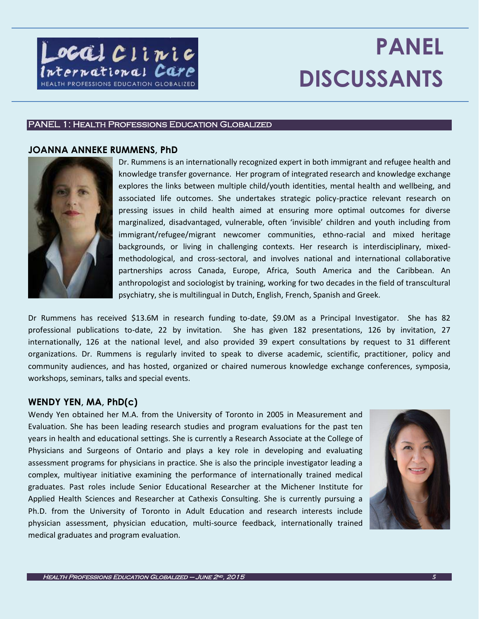

## **PANEL DISCUSSANTS**

### PANEL 1: Health Professions Education Globalized

### **JOANNA ANNEKE RUMMENS, PhD**



Dr. Rummens is an internationally recognized expert in both immigrant and refugee health and knowledge transfer governance. Her program of integrated research and knowledge exchange explores the links between multiple child/youth identities, mental health and wellbeing, and associated life outcomes. She undertakes strategic policy-practice relevant research on pressing issues in child health aimed at ensuring more optimal outcomes for diverse marginalized, disadvantaged, vulnerable, often 'invisible' children and youth including from immigrant/refugee/migrant newcomer communities, ethno-racial and mixed heritage backgrounds, or living in challenging contexts. Her research is interdisciplinary, mixedmethodological, and cross-sectoral, and involves national and international collaborative partnerships across Canada, Europe, Africa, South America and the Caribbean. An anthropologist and sociologist by training, working for two decades in the field of transcultural psychiatry, she is multilingual in Dutch, English, French, Spanish and Greek.

Dr Rummens has received \$13.6M in research funding to-date, \$9.0M as a Principal Investigator. She has 82 professional publications to-date, 22 by invitation. She has given 182 presentations, 126 by invitation, 27 internationally, 126 at the national level, and also provided 39 expert consultations by request to 31 different organizations. Dr. Rummens is regularly invited to speak to diverse academic, scientific, practitioner, policy and community audiences, and has hosted, organized or chaired numerous knowledge exchange conferences, symposia, workshops, seminars, talks and special events.

### **WENDY YEN, MA, PhD(c)**

Wendy Yen obtained her M.A. from the University of Toronto in 2005 in Measurement and Evaluation. She has been leading research studies and program evaluations for the past ten years in health and educational settings. She is currently a Research Associate at the College of Physicians and Surgeons of Ontario and plays a key role in developing and evaluating assessment programs for physicians in practice. She is also the principle investigator leading a complex, multiyear initiative examining the performance of internationally trained medical graduates. Past roles include Senior Educational Researcher at the Michener Institute for Applied Health Sciences and Researcher at Cathexis Consulting. She is currently pursuing a Ph.D. from the University of Toronto in Adult Education and research interests include physician assessment, physician education, multi-source feedback, internationally trained medical graduates and program evaluation.

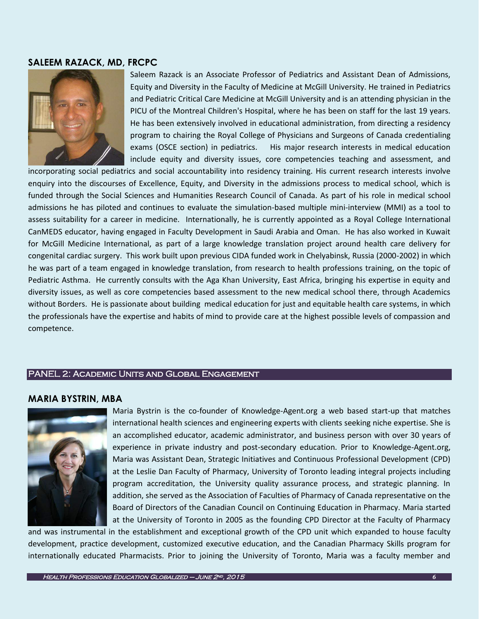### **SALEEM RAZACK, MD, FRCPC**



Saleem Razack is an Associate Professor of Pediatrics and Assistant Dean of Admissions, Equity and Diversity in the Faculty of Medicine at McGill University. He trained in Pediatrics and Pediatric Critical Care Medicine at McGill University and is an attending physician in the PICU of the Montreal Children's Hospital, where he has been on staff for the last 19 years. He has been extensively involved in educational administration, from directing a residency program to chairing the Royal College of Physicians and Surgeons of Canada credentialing exams (OSCE section) in pediatrics. His major research interests in medical education include equity and diversity issues, core competencies teaching and assessment, and

incorporating social pediatrics and social accountability into residency training. His current research interests involve enquiry into the discourses of Excellence, Equity, and Diversity in the admissions process to medical school, which is funded through the Social Sciences and Humanities Research Council of Canada. As part of his role in medical school admissions he has piloted and continues to evaluate the simulation-based multiple mini-interview (MMI) as a tool to assess suitability for a career in medicine. Internationally, he is currently appointed as a Royal College International CanMEDS educator, having engaged in Faculty Development in Saudi Arabia and Oman. He has also worked in Kuwait for McGill Medicine International, as part of a large knowledge translation project around health care delivery for congenital cardiac surgery. This work built upon previous CIDA funded work in Chelyabinsk, Russia (2000-2002) in which he was part of a team engaged in knowledge translation, from research to health professions training, on the topic of Pediatric Asthma. He currently consults with the Aga Khan University, East Africa, bringing his expertise in equity and diversity issues, as well as core competencies based assessment to the new medical school there, through Academics without Borders. He is passionate about building medical education for just and equitable health care systems, in which the professionals have the expertise and habits of mind to provide care at the highest possible levels of compassion and competence.

### PANEL 2: Academic Units and Global Engagement

### **MARIA BYSTRIN, MBA**



Maria Bystrin is the co-founder of Knowledge-Agent.org a web based start-up that matches international health sciences and engineering experts with clients seeking niche expertise. She is an accomplished educator, academic administrator, and business person with over 30 years of experience in private industry and post-secondary education. Prior to Knowledge-Agent.org, Maria was Assistant Dean, Strategic Initiatives and Continuous Professional Development (CPD) at the Leslie Dan Faculty of Pharmacy, University of Toronto leading integral projects including program accreditation, the University quality assurance process, and strategic planning. In addition, she served as the Association of Faculties of Pharmacy of Canada representative on the Board of Directors of the Canadian Council on Continuing Education in Pharmacy. Maria started at the University of Toronto in 2005 as the founding CPD Director at the Faculty of Pharmacy

and was instrumental in the establishment and exceptional growth of the CPD unit which expanded to house faculty development, practice development, customized executive education, and the Canadian Pharmacy Skills program for internationally educated Pharmacists. Prior to joining the University of Toronto, Maria was a faculty member and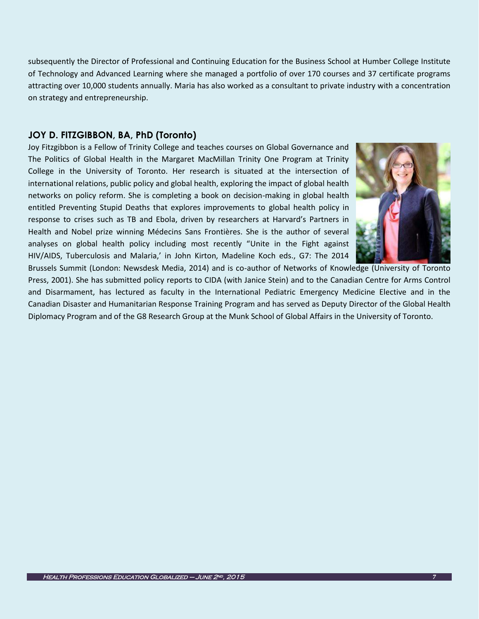subsequently the Director of Professional and Continuing Education for the Business School at Humber College Institute of Technology and Advanced Learning where she managed a portfolio of over 170 courses and 37 certificate programs attracting over 10,000 students annually. Maria has also worked as a consultant to private industry with a concentration on strategy and entrepreneurship.

### **JOY D. FITZGIBBON, BA, PhD (Toronto)**

Joy Fitzgibbon is a Fellow of Trinity College and teaches courses on Global Governance and The Politics of Global Health in the Margaret MacMillan Trinity One Program at Trinity College in the University of Toronto. Her research is situated at the intersection of international relations, public policy and global health, exploring the impact of global health networks on policy reform. She is completing a book on decision-making in global health entitled Preventing Stupid Deaths that explores improvements to global health policy in response to crises such as TB and Ebola, driven by researchers at Harvard's Partners in Health and Nobel prize winning Médecins Sans Frontières. She is the author of several analyses on global health policy including most recently "Unite in the Fight against HIV/AIDS, Tuberculosis and Malaria,' in John Kirton, Madeline Koch eds., G7: The 2014



Brussels Summit (London: Newsdesk Media, 2014) and is co-author of Networks of Knowledge (University of Toronto Press, 2001). She has submitted policy reports to CIDA (with Janice Stein) and to the Canadian Centre for Arms Control and Disarmament, has lectured as faculty in the International Pediatric Emergency Medicine Elective and in the Canadian Disaster and Humanitarian Response Training Program and has served as Deputy Director of the Global Health Diplomacy Program and of the G8 Research Group at the Munk School of Global Affairs in the University of Toronto.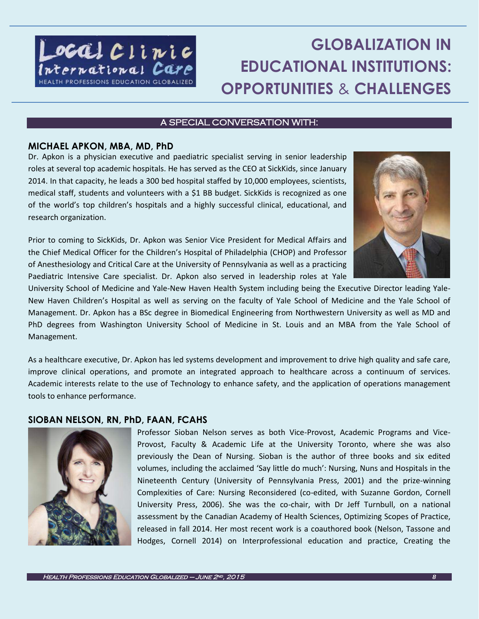

### **GLOBALIZATION IN EDUCATIONAL INSTITUTIONS: OPPORTUNITIES** & **CHALLENGES**

### A SPECIAL CONVERSATION WITH:

### **MICHAEL APKON, MBA, MD, PhD**

Dr. Apkon is a physician executive and paediatric specialist serving in senior leadership roles at several top academic hospitals. He has served as the CEO at SickKids, since January 2014. In that capacity, he leads a 300 bed hospital staffed by 10,000 employees, scientists, medical staff, students and volunteers with a \$1 BB budget. SickKids is recognized as one of the world's top children's hospitals and a highly successful clinical, educational, and research organization.

Prior to coming to SickKids, Dr. Apkon was Senior Vice President for Medical Affairs and the Chief Medical Officer for the Children's Hospital of Philadelphia (CHOP) and Professor of Anesthesiology and Critical Care at the University of Pennsylvania as well as a practicing Paediatric Intensive Care specialist. Dr. Apkon also served in leadership roles at Yale



University School of Medicine and Yale-New Haven Health System including being the Executive Director leading Yale-New Haven Children's Hospital as well as serving on the faculty of Yale School of Medicine and the Yale School of Management. Dr. Apkon has a BSc degree in Biomedical Engineering from Northwestern University as well as MD and PhD degrees from Washington University School of Medicine in St. Louis and an MBA from the Yale School of Management.

As a healthcare executive, Dr. Apkon has led systems development and improvement to drive high quality and safe care, improve clinical operations, and promote an integrated approach to healthcare across a continuum of services. Academic interests relate to the use of Technology to enhance safety, and the application of operations management tools to enhance performance.

### **SIOBAN NELSON, RN, PhD, FAAN, FCAHS**



Professor Sioban Nelson serves as both Vice-Provost, Academic Programs and Vice-Provost, Faculty & Academic Life at the University Toronto, where she was also previously the Dean of Nursing. Sioban is the author of three books and six edited volumes, including the acclaimed 'Say little do much': Nursing, Nuns and Hospitals in the Nineteenth Century (University of Pennsylvania Press, 2001) and the prize-winning Complexities of Care: Nursing Reconsidered (co-edited, with Suzanne Gordon, Cornell University Press, 2006). She was the co-chair, with Dr Jeff Turnbull, on a national assessment by the Canadian Academy of Health Sciences, Optimizing Scopes of Practice, released in fall 2014. Her most recent work is a coauthored book (Nelson, Tassone and Hodges, Cornell 2014) on Interprofessional education and practice, Creating the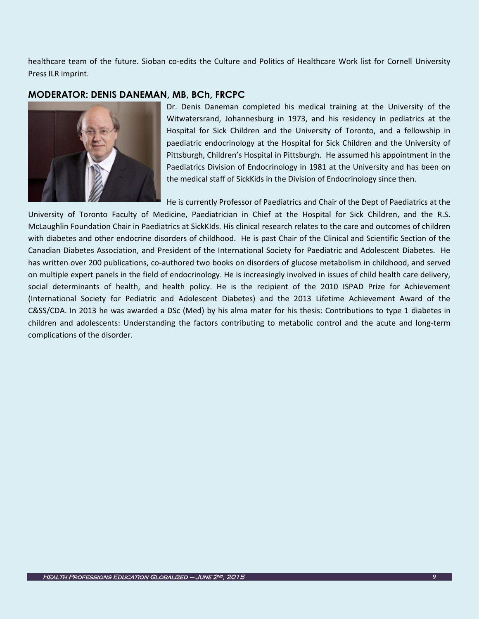healthcare team of the future. Sioban co-edits the Culture and Politics of Healthcare Work list for Cornell University Press ILR imprint.

### **MODERATOR: DENIS DANEMAN, MB, BCh, FRCPC**



Dr. Denis Daneman completed his medical training at the University of the Witwatersrand, Johannesburg in 1973, and his residency in pediatrics at the Hospital for Sick Children and the University of Toronto, and a fellowship in paediatric endocrinology at the Hospital for Sick Children and the University of Pittsburgh, Children's Hospital in Pittsburgh. He assumed his appointment in the Paediatrics Division of Endocrinology in 1981 at the University and has been on the medical staff of SickKids in the Division of Endocrinology since then.

He is currently Professor of Paediatrics and Chair of the Dept of Paediatrics at the

University of Toronto Faculty of Medicine, Paediatrician in Chief at the Hospital for Sick Children, and the R.S. McLaughlin Foundation Chair in Paediatrics at SickKIds. His clinical research relates to the care and outcomes of children with diabetes and other endocrine disorders of childhood. He is past Chair of the Clinical and Scientific Section of the Canadian Diabetes Association, and President of the International Society for Paediatric and Adolescent Diabetes. He has written over 200 publications, co-authored two books on disorders of glucose metabolism in childhood, and served on multiple expert panels in the field of endocrinology. He is increasingly involved in issues of child health care delivery, social determinants of health, and health policy. He is the recipient of the 2010 ISPAD Prize for Achievement (International Society for Pediatric and Adolescent Diabetes) and the 2013 Lifetime Achievement Award of the C&SS/CDA. In 2013 he was awarded a DSc (Med) by his alma mater for his thesis: Contributions to type 1 diabetes in children and adolescents: Understanding the factors contributing to metabolic control and the acute and long-term complications of the disorder.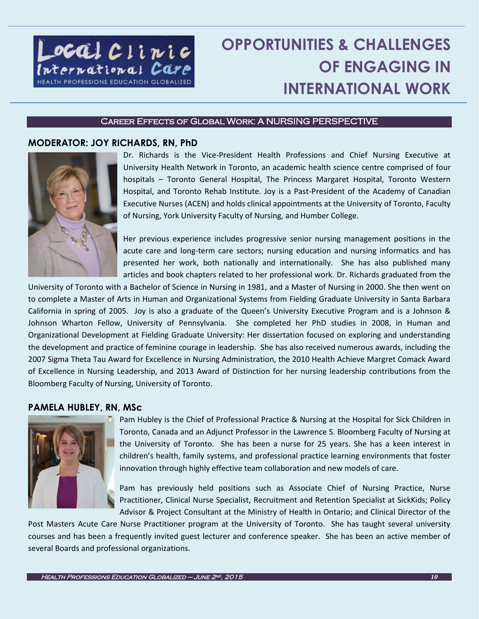

### **OPPORTUNITIES & CHALLENGES OF ENGAGING IN INTERNATIONAL WORK**

### Career Effects of Global Work: A NURSING PERSPECTIVE

### **MODERATOR: JOY RICHARDS, RN, PhD**



Dr. Richards is the Vice-President Health Professions and Chief Nursing Executive at University Health Network in Toronto, an academic health science centre comprised of four hospitals – Toronto General Hospital, The Princess Margaret Hospital, Toronto Western Hospital, and Toronto Rehab Institute. Joy is a Past-President of the Academy of Canadian Executive Nurses (ACEN) and holds clinical appointments at the University of Toronto, Faculty of Nursing, York University Faculty of Nursing, and Humber College.

Her previous experience includes progressive senior nursing management positions in the acute care and long-term care sectors; nursing education and nursing informatics and has presented her work, both nationally and internationally. She has also published many articles and book chapters related to her professional work. Dr. Richards graduated from the

University of Toronto with a Bachelor of Science in Nursing in 1981, and a Master of Nursing in 2000. She then went on to complete a Master of Arts in Human and Organizational Systems from Fielding Graduate University in Santa Barbara California in spring of 2005. Joy is also a graduate of the Queen's University Executive Program and is a Johnson & Johnson Wharton Fellow, University of Pennsylvania. She completed her PhD studies in 2008, in Human and Organizational Development at Fielding Graduate University: Her dissertation focused on exploring and understanding the development and practice of feminine courage in leadership. She has also received numerous awards, including the 2007 Sigma Theta Tau Award for Excellence in Nursing Administration, the 2010 Health Achieve Margret Comack Award of Excellence in Nursing Leadership, and 2013 Award of Distinction for her nursing leadership contributions from the Bloomberg Faculty of Nursing, University of Toronto.

### **PAMELA HUBLEY, RN, MSc**



Pam Hubley is the Chief of Professional Practice & Nursing at the Hospital for Sick Children in Toronto, Canada and an Adjunct Professor in the Lawrence S. Bloomberg Faculty of Nursing at the University of Toronto. She has been a nurse for 25 years. She has a keen interest in children's health, family systems, and professional practice learning environments that foster innovation through highly effective team collaboration and new models of care.

Pam has previously held positions such as Associate Chief of Nursing Practice, Nurse Practitioner, Clinical Nurse Specialist, Recruitment and Retention Specialist at SickKids; Policy Advisor & Project Consultant at the Ministry of Health in Ontario; and Clinical Director of the

Post Masters Acute Care Nurse Practitioner program at the University of Toronto. She has taught several university courses and has been a frequently invited guest lecturer and conference speaker. She has been an active member of several Boards and professional organizations.

 $\overline{1}$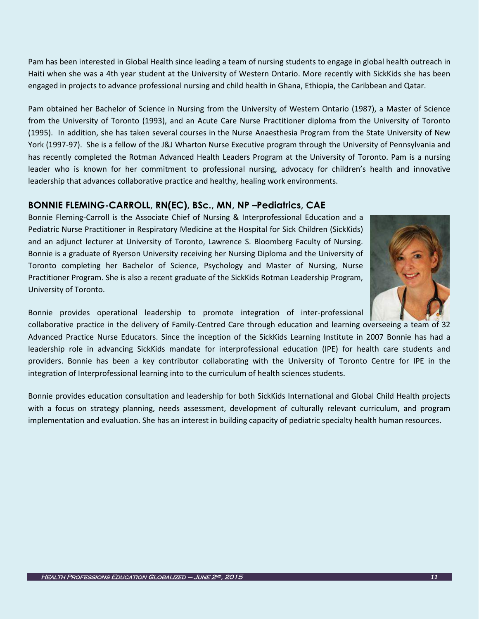Pam has been interested in Global Health since leading a team of nursing students to engage in global health outreach in Haiti when she was a 4th year student at the University of Western Ontario. More recently with SickKids she has been engaged in projects to advance professional nursing and child health in Ghana, Ethiopia, the Caribbean and Qatar.

Pam obtained her Bachelor of Science in Nursing from the University of Western Ontario (1987), a Master of Science from the University of Toronto (1993), and an Acute Care Nurse Practitioner diploma from the University of Toronto (1995). In addition, she has taken several courses in the Nurse Anaesthesia Program from the State University of New York (1997-97). She is a fellow of the J&J Wharton Nurse Executive program through the University of Pennsylvania and has recently completed the Rotman Advanced Health Leaders Program at the University of Toronto. Pam is a nursing leader who is known for her commitment to professional nursing, advocacy for children's health and innovative leadership that advances collaborative practice and healthy, healing work environments.

### **BONNIE FLEMING-CARROLL, RN(EC), BSc., MN, NP –Pediatrics, CAE**

Bonnie Fleming-Carroll is the Associate Chief of Nursing & Interprofessional Education and a Pediatric Nurse Practitioner in Respiratory Medicine at the Hospital for Sick Children (SickKids) and an adjunct lecturer at University of Toronto, Lawrence S. Bloomberg Faculty of Nursing. Bonnie is a graduate of Ryerson University receiving her Nursing Diploma and the University of Toronto completing her Bachelor of Science, Psychology and Master of Nursing, Nurse Practitioner Program. She is also a recent graduate of the SickKids Rotman Leadership Program, University of Toronto.



Bonnie provides operational leadership to promote integration of inter-professional

collaborative practice in the delivery of Family-Centred Care through education and learning overseeing a team of 32 Advanced Practice Nurse Educators. Since the inception of the SickKids Learning Institute in 2007 Bonnie has had a leadership role in advancing SickKids mandate for interprofessional education (IPE) for health care students and providers. Bonnie has been a key contributor collaborating with the University of Toronto Centre for IPE in the integration of Interprofessional learning into to the curriculum of health sciences students.

Bonnie provides education consultation and leadership for both SickKids International and Global Child Health projects with a focus on strategy planning, needs assessment, development of culturally relevant curriculum, and program implementation and evaluation. She has an interest in building capacity of pediatric specialty health human resources.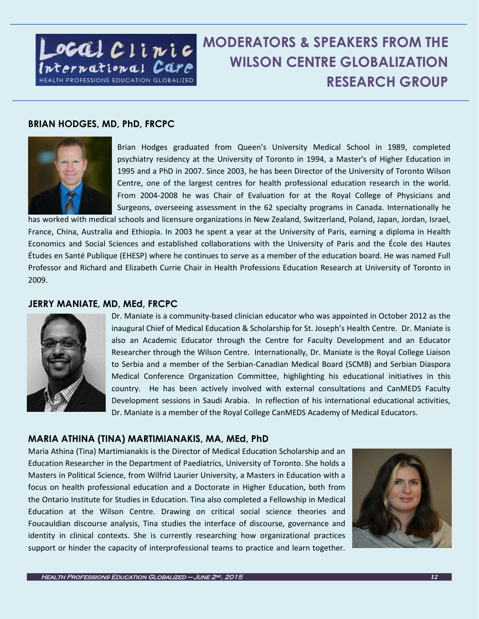

### **MODERATORS & SPEAKERS FROM THE WILSON CENTRE GLOBALIZATION RESEARCH GROUP**

### **BRIAN HODGES, MD, PhD, FRCPC**



Brian Hodges graduated from Queen's University Medical School in 1989, completed psychiatry residency at the University of Toronto in 1994, a Master's of Higher Education in 1995 and a PhD in 2007. Since 2003, he has been Director of the University of Toronto Wilson Centre, one of the largest centres for health professional education research in the world. From 2004-2008 he was Chair of Evaluation for at the Royal College of Physicians and Surgeons, overseeing assessment in the 62 specialty programs in Canada. Internationally he

has worked with medical schools and licensure organizations in New Zealand, Switzerland, Poland, Japan, Jordan, Israel, France, China, Australia and Ethiopia. In 2003 he spent a year at the University of Paris, earning a diploma in Health Economics and Social Sciences and established collaborations with the University of Paris and the École des Hautes Études en Santé Publique (EHESP) where he continues to serve as a member of the education board. He was named Full Professor and Richard and Elizabeth Currie Chair in Health Professions Education Research at University of Toronto in 2009.

### **JERRY MANIATE, MD, MEd, FRCPC**



Dr. Maniate is a community-based clinician educator who was appointed in October 2012 as the inaugural Chief of Medical Education & Scholarship for St. Joseph's Health Centre. Dr. Maniate is also an Academic Educator through the Centre for Faculty Development and an Educator Researcher through the Wilson Centre. Internationally, Dr. Maniate is the Royal College Liaison to Serbia and a member of the Serbian-Canadian Medical Board (SCMB) and Serbian Diaspora Medical Conference Organization Committee, highlighting his educational initiatives in this country. He has been actively involved with external consultations and CanMEDS Faculty Development sessions in Saudi Arabia. In reflection of his international educational activities, Dr. Maniate is a member of the Royal College CanMEDS Academy of Medical Educators.

### **MARIA ATHINA (TINA) MARTIMIANAKIS, MA, MEd, PhD**

Maria Athina (Tina) Martimianakis is the Director of Medical Education Scholarship and an Education Researcher in the Department of Paediatrics, University of Toronto. She holds a Masters in Political Science, from Wilfrid Laurier University, a Masters in Education with a focus on health professional education and a Doctorate in Higher Education, both from the Ontario Institute for Studies in Education. Tina also completed a Fellowship in Medical Education at the Wilson Centre. Drawing on critical social science theories and Foucauldian discourse analysis, Tina studies the interface of discourse, governance and identity in clinical contexts. She is currently researching how organizational practices support or hinder the capacity of interprofessional teams to practice and learn together.



Ī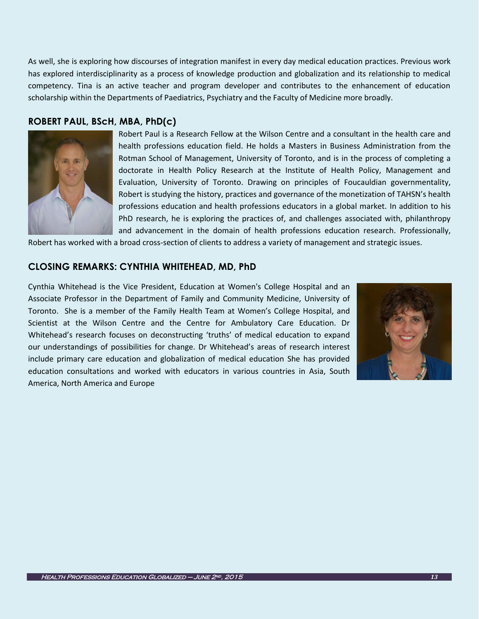As well, she is exploring how discourses of integration manifest in every day medical education practices. Previous work has explored interdisciplinarity as a process of knowledge production and globalization and its relationship to medical competency. Tina is an active teacher and program developer and contributes to the enhancement of education scholarship within the Departments of Paediatrics, Psychiatry and the Faculty of Medicine more broadly.

### **ROBERT PAUL, BScH, MBA, PhD(c)**



Robert Paul is a Research Fellow at the Wilson Centre and a consultant in the health care and health professions education field. He holds a Masters in Business Administration from the Rotman School of Management, University of Toronto, and is in the process of completing a doctorate in Health Policy Research at the Institute of Health Policy, Management and Evaluation, University of Toronto. Drawing on principles of Foucauldian governmentality, Robert is studying the history, practices and governance of the monetization of TAHSN's health professions education and health professions educators in a global market. In addition to his PhD research, he is exploring the practices of, and challenges associated with, philanthropy and advancement in the domain of health professions education research. Professionally,

Robert has worked with a broad cross-section of clients to address a variety of management and strategic issues.

### **CLOSING REMARKS: CYNTHIA WHITEHEAD, MD, PhD**

Cynthia Whitehead is the Vice President, Education at Women's College Hospital and an Associate Professor in the Department of Family and Community Medicine, University of Toronto. She is a member of the Family Health Team at Women's College Hospital, and Scientist at the Wilson Centre and the Centre for Ambulatory Care Education. Dr Whitehead's research focuses on deconstructing 'truths' of medical education to expand our understandings of possibilities for change. Dr Whitehead's areas of research interest include primary care education and globalization of medical education She has provided education consultations and worked with educators in various countries in Asia, South America, North America and Europe